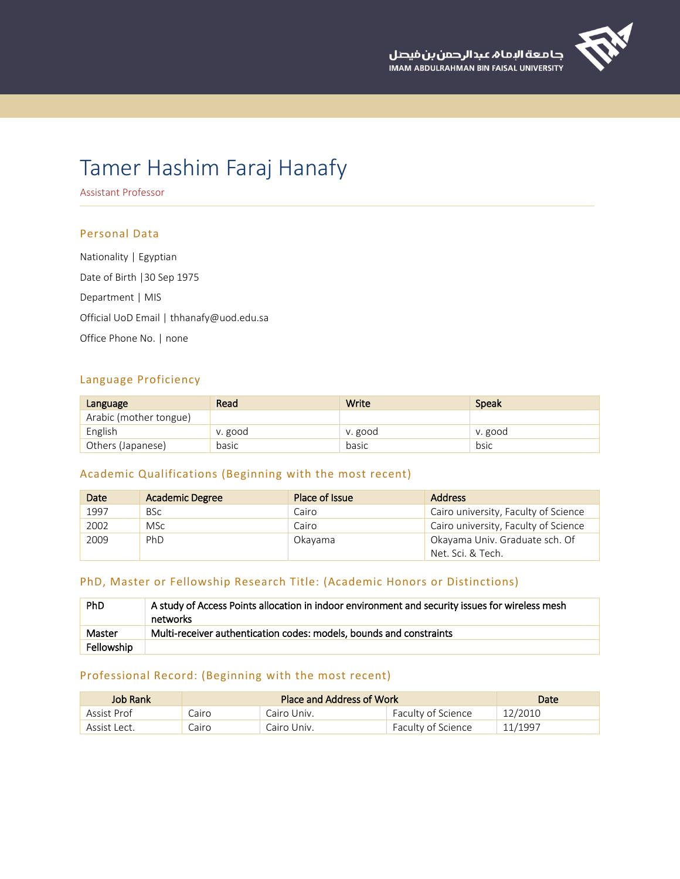

# Tamer Hashim Faraj Hanafy

Assistant Professor

## Personal Data

Nationality | Egyptian Date of Birth |30 Sep 1975 Department | MIS Official UoD Email | thhanafy@uod.edu.sa Office Phone No. | none

## Language Proficiency

| Language               | Read    | Write   | <b>Speak</b> |
|------------------------|---------|---------|--------------|
| Arabic (mother tongue) |         |         |              |
| English                | v. good | v. good | v. good      |
| Others (Japanese)      | basic   | basic   | bsic         |

# Academic Qualifications (Beginning with the most recent)

| Date | <b>Academic Degree</b> | Place of Issue | <b>Address</b>                       |
|------|------------------------|----------------|--------------------------------------|
| 1997 | <b>BSc</b>             | Cairo          | Cairo university, Faculty of Science |
| 2002 | <b>MSc</b>             | Cairo          | Cairo university, Faculty of Science |
| 2009 | PhD                    | <b>Okavama</b> | Okayama Univ. Graduate sch. Of       |
|      |                        |                | Net. Sci. & Tech.                    |

# PhD, Master or Fellowship Research Title: (Academic Honors or Distinctions)

| <b>PhD</b> | A study of Access Points allocation in indoor environment and security issues for wireless mesh<br>networks |
|------------|-------------------------------------------------------------------------------------------------------------|
| Master     | Multi-receiver authentication codes: models, bounds and constraints                                         |
| Fellowship |                                                                                                             |

# Professional Record: (Beginning with the most recent)

| Job Rank     | Place and Address of Work |             | Date               |         |
|--------------|---------------------------|-------------|--------------------|---------|
| Assist Prof  | Cairo                     | Cairo Univ. | Faculty of Science | 12/2010 |
| Assist Lect. | Cairo                     | Cairo Univ. | Faculty of Science | 11/1997 |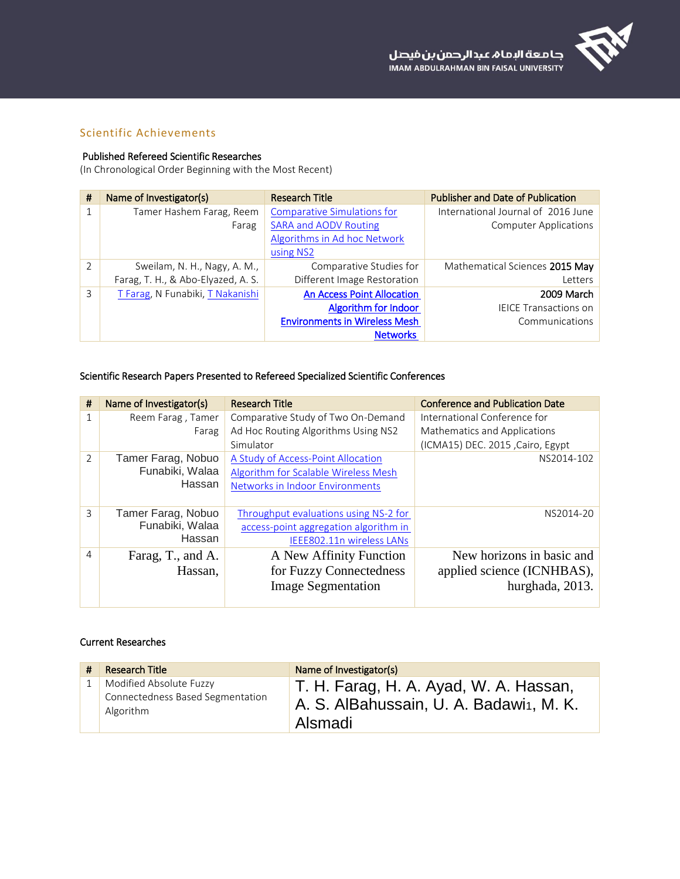

# Scientific Achievements

## Published Refereed Scientific Researches

(In Chronological Order Beginning with the Most Recent)

| #              | Name of Investigator(s)            | <b>Research Title</b>                | <b>Publisher and Date of Publication</b> |
|----------------|------------------------------------|--------------------------------------|------------------------------------------|
| 1              | Tamer Hashem Farag, Reem           | <b>Comparative Simulations for</b>   | International Journal of 2016 June       |
|                | Farag                              | <b>SARA and AODV Routing</b>         | <b>Computer Applications</b>             |
|                |                                    | Algorithms in Ad hoc Network         |                                          |
|                |                                    | using NS2                            |                                          |
| $\overline{2}$ | Sweilam, N. H., Nagy, A. M.,       | Comparative Studies for              | Mathematical Sciences 2015 May           |
|                | Farag, T. H., & Abo-Elyazed, A. S. | Different Image Restoration          | Letters                                  |
| 3              | T Farag, N Funabiki, T Nakanishi   | <b>An Access Point Allocation</b>    | 2009 March                               |
|                |                                    | Algorithm for Indoor                 | <b>IEICE Transactions on</b>             |
|                |                                    | <b>Environments in Wireless Mesh</b> | Communications                           |
|                |                                    | <b>Networks</b>                      |                                          |

# Scientific Research Papers Presented to Refereed Specialized Scientific Conferences

| #             | Name of Investigator(s) | <b>Research Title</b>                 | <b>Conference and Publication Date</b> |
|---------------|-------------------------|---------------------------------------|----------------------------------------|
|               | Reem Farag, Tamer       | Comparative Study of Two On-Demand    | International Conference for           |
|               | Farag                   | Ad Hoc Routing Algorithms Using NS2   | Mathematics and Applications           |
|               |                         | Simulator                             | (ICMA15) DEC. 2015, Cairo, Egypt       |
| $\mathcal{P}$ | Tamer Farag, Nobuo      | A Study of Access-Point Allocation    | NS2014-102                             |
|               | Funabiki, Walaa         | Algorithm for Scalable Wireless Mesh  |                                        |
|               | Hassan                  | Networks in Indoor Environments       |                                        |
|               |                         |                                       |                                        |
| 3             | Tamer Farag, Nobuo      | Throughput evaluations using NS-2 for | NS2014-20                              |
|               | Funabiki, Walaa         | access-point aggregation algorithm in |                                        |
|               | Hassan                  | IEEE802.11n wireless LANs             |                                        |
| 4             | Farag, T., and A.       | A New Affinity Function               | New horizons in basic and              |
|               | Hassan,                 | for Fuzzy Connectedness               | applied science (ICNHBAS),             |
|               |                         | <b>Image Segmentation</b>             | hurghada, 2013.                        |
|               |                         |                                       |                                        |

## Current Researches

| Research Title                                                           | Name of Investigator(s)                                                                                   |
|--------------------------------------------------------------------------|-----------------------------------------------------------------------------------------------------------|
| Modified Absolute Fuzzy<br>Connectedness Based Segmentation<br>Algorithm | T. H. Farag, H. A. Ayad, W. A. Hassan,<br>A. S. AlBahussain, U. A. Badawi <sub>1</sub> , M. K.<br>Alsmadi |